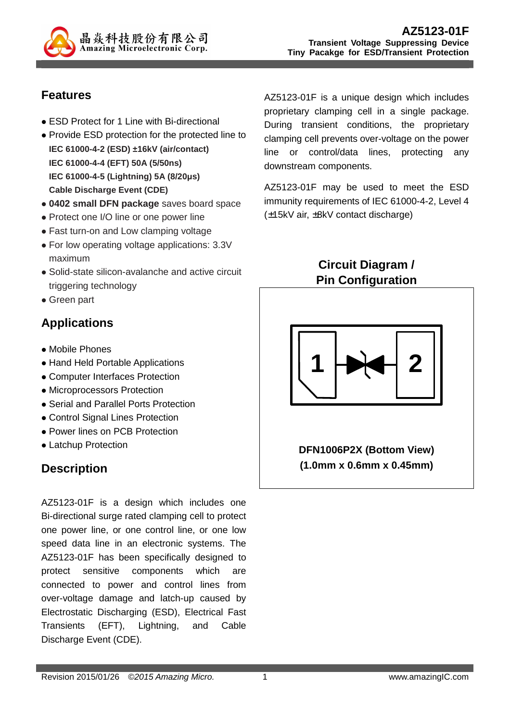

## **Features**

- ESD Protect for 1 Line with Bi-directional
- Provide ESD protection for the protected line to **IEC 61000-4-2 (ESD) ±16kV (air/contact) IEC 61000-4-4 (EFT) 50A (5/50ns) IEC 61000-4-5 (Lightning) 5A (8/20µs) Cable Discharge Event (CDE)**
- **0402 small DFN package** saves board space
- Protect one I/O line or one power line
- Fast turn-on and Low clamping voltage
- For low operating voltage applications: 3.3V maximum
- Solid-state silicon-avalanche and active circuit triggering technology
- Green part

## **Applications**

- Mobile Phones
- Hand Held Portable Applications
- Computer Interfaces Protection
- Microprocessors Protection
- Serial and Parallel Ports Protection
- Control Signal Lines Protection
- Power lines on PCB Protection
- Latchup Protection

## **Description**

AZ5123-01F is a design which includes one Bi-directional surge rated clamping cell to protect one power line, or one control line, or one low speed data line in an electronic systems. The AZ5123-01F has been specifically designed to protect sensitive components which are connected to power and control lines from over-voltage damage and latch-up caused by Electrostatic Discharging (ESD), Electrical Fast Transients (EFT), Lightning, and Cable Discharge Event (CDE).

AZ5123-01F is a unique design which includes proprietary clamping cell in a single package. During transient conditions, the proprietary clamping cell prevents over-voltage on the power line or control/data lines, protecting any downstream components.

AZ5123-01F may be used to meet the ESD immunity requirements of IEC 61000-4-2, Level 4 (±15kV air, ±8kV contact discharge)

> **Circuit Diagram / Pin Configuration**



**DFN1006P2X (Bottom View) (1.0mm x 0.6mm x 0.45mm)**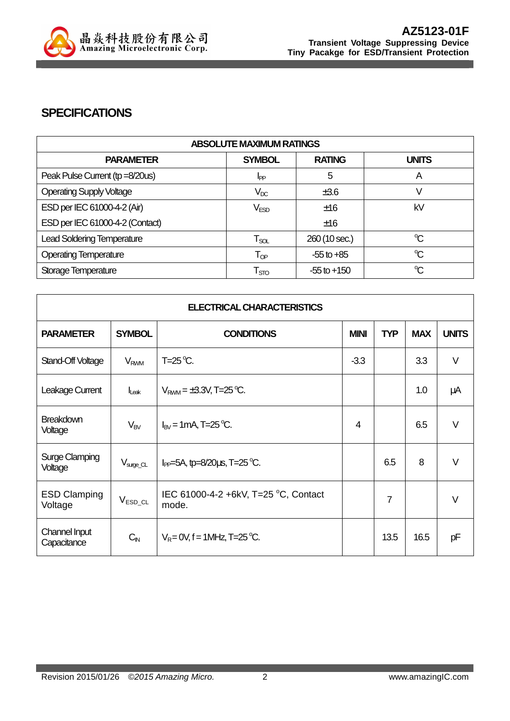

### **SPECIFICATIONS**

| <b>ABSOLUTE MAXIMUM RATINGS</b>   |                             |                 |              |  |
|-----------------------------------|-----------------------------|-----------------|--------------|--|
| <b>PARAMETER</b>                  | <b>SYMBOL</b>               | <b>RATING</b>   | <b>UNITS</b> |  |
| Peak Pulse Current (tp =8/20us)   | I <sub>PP</sub>             | 5               | A            |  |
| <b>Operating Supply Voltage</b>   | $V_{DC}$                    | ±3.6            |              |  |
| ESD per IEC 61000-4-2 (Air)       | V <sub>ESD</sub>            | ±16             | kV           |  |
| ESD per IEC 61000-4-2 (Contact)   |                             | ±16             |              |  |
| <b>Lead Soldering Temperature</b> | $\mathsf{T}_{\mathsf{SOL}}$ | 260 (10 sec.)   | $\mathrm{C}$ |  |
| <b>Operating Temperature</b>      | $T_{OP}$                    | $-55$ to $+85$  | $\mathrm{C}$ |  |
| Storage Temperature               | $\mathsf{T}_{\text{STO}}$   | $-55$ to $+150$ | $\mathrm{C}$ |  |

| <b>ELECTRICAL CHARACTERISTICS</b> |                        |                                                   |             |                |            |              |
|-----------------------------------|------------------------|---------------------------------------------------|-------------|----------------|------------|--------------|
| <b>PARAMETER</b>                  | <b>SYMBOL</b>          | <b>CONDITIONS</b>                                 | <b>MINI</b> | <b>TYP</b>     | <b>MAX</b> | <b>UNITS</b> |
| Stand-Off Voltage                 | <b>V<sub>RWM</sub></b> | $T=25^{\circ}C$ .                                 | $-3.3$      |                | 3.3        | $\vee$       |
| Leakage Current                   | $I_{\text{L}eak}$      | $V_{\text{RWM}} = \pm 3.3 V, T = 25 \,^{\circ}C.$ |             |                | 1.0        | μA           |
| <b>Breakdown</b><br>Voltage       | $V_{BV}$               | $I_{BV}$ = 1 mA, T=25 °C.                         | 4           |                | 6.5        | $\vee$       |
| <b>Surge Clamping</b><br>Voltage  | $V_{\text{surge\_CL}}$ | $I_{PP}$ =5A, tp=8/20 $\mu$ s, T=25 °C.           |             | 6.5            | 8          | $\vee$       |
| <b>ESD Clamping</b><br>Voltage    | $V_{ESD\_CL}$          | IEC 61000-4-2 +6kV, T=25 °C, Contact<br>mode.     |             | $\overline{7}$ |            | $\vee$       |
| Channel Input<br>Capacitance      | $C_{\text{IN}}$        | $V_R = 0V$ , f = 1MHz, T=25 °C.                   |             | 13.5           | 16.5       | pF           |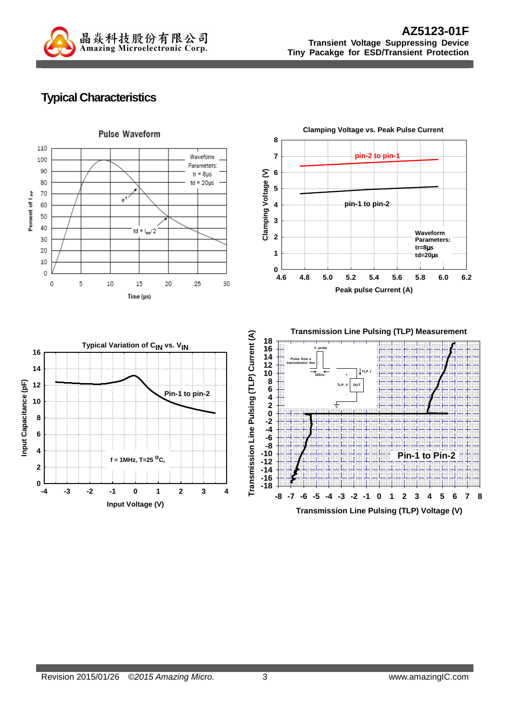

## **Typical Characteristics**

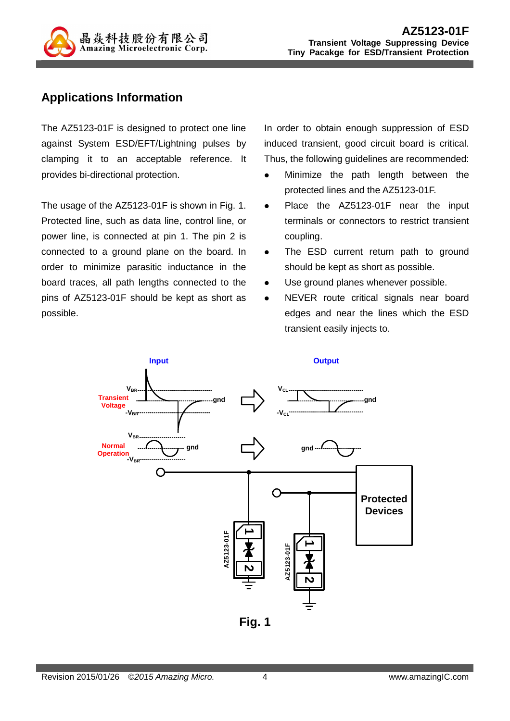

### **Applications Information**

The AZ5123-01F is designed to protect one line against System ESD/EFT/Lightning pulses by clamping it to an acceptable reference. It provides bi-directional protection.

The usage of the AZ5123-01F is shown in Fig. 1. Protected line, such as data line, control line, or power line, is connected at pin 1. The pin 2 is connected to a ground plane on the board. In order to minimize parasitic inductance in the board traces, all path lengths connected to the pins of AZ5123-01F should be kept as short as possible.

In order to obtain enough suppression of ESD induced transient, good circuit board is critical. Thus, the following guidelines are recommended:

- Minimize the path length between the protected lines and the AZ5123-01F.
- Place the AZ5123-01F near the input terminals or connectors to restrict transient coupling.
- The ESD current return path to ground should be kept as short as possible.
- Use ground planes whenever possible.
- NEVER route critical signals near board edges and near the lines which the ESD transient easily injects to.



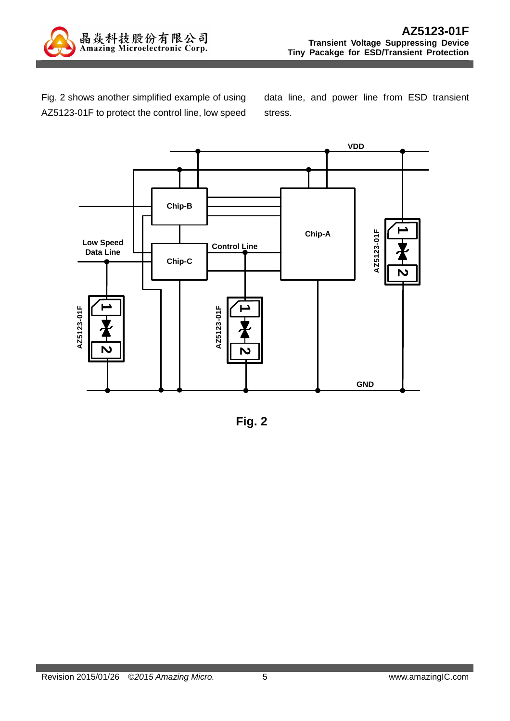

Fig. 2 shows another simplified example of using AZ5123-01F to protect the control line, low speed

data line, and power line from ESD transient stress.



**Fig. 2**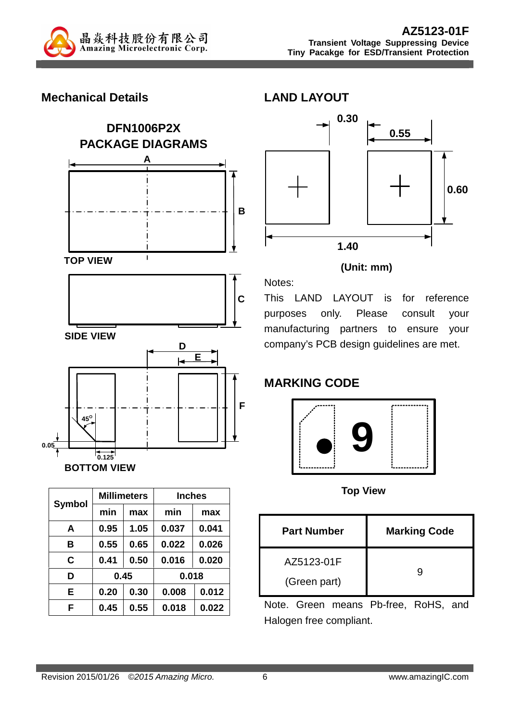

### **Mechanical Details**





| <b>Symbol</b> |      | <b>Millimeters</b> | <b>Inches</b> |       |  |
|---------------|------|--------------------|---------------|-------|--|
|               | min  | max                | min           | max   |  |
| A             | 0.95 | 1.05               | 0.037         | 0.041 |  |
| в             | 0.55 | 0.65               | 0.022         | 0.026 |  |
| C             | 0.41 | 0.50               | 0.016         | 0.020 |  |
| D             | 0.45 |                    | 0.018         |       |  |
| E             | 0.20 | 0.30               | 0.008         | 0.012 |  |
| F             | 0.45 | 0.55               | 0.018         | 0.022 |  |



#### **(Unit: mm)**

This LAND LAYOUT is for reference purposes only. Please consult your manufacturing partners to ensure your company's PCB design guidelines are met.

## **MARKING CODE**

Notes:



**Top View** 

| <b>Part Number</b>         | <b>Marking Code</b> |
|----------------------------|---------------------|
| AZ5123-01F<br>(Green part) |                     |

Note. Green means Pb-free, RoHS, and Halogen free compliant.